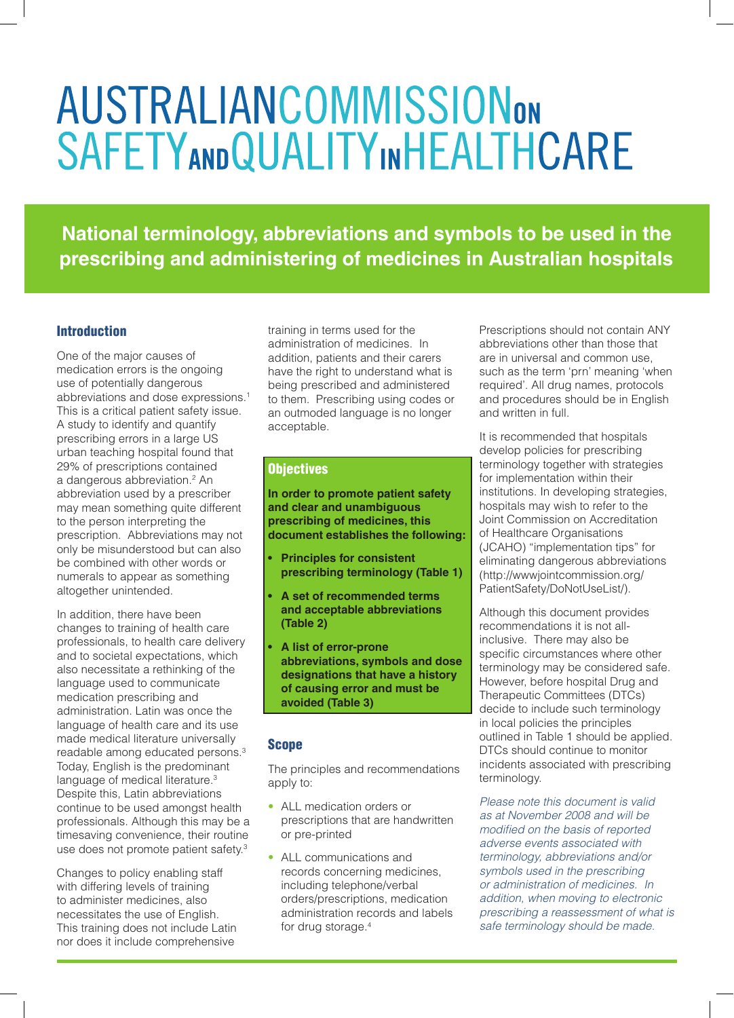# **AUSTRALIANCOMMISSIONON SAFETYANDQUALITYINHEALTHCARE**

**National terminology, abbreviations and symbols to be used in the prescribing and administering of medicines in Australian hospitals** 

#### Introduction

One of the major causes of medication errors is the ongoing use of potentially dangerous abbreviations and dose expressions.1 This is a critical patient safety issue. A study to identify and quantify prescribing errors in a large US urban teaching hospital found that 29% of prescriptions contained a dangerous abbreviation.<sup>2</sup> An abbreviation used by a prescriber may mean something quite different to the person interpreting the prescription. Abbreviations may not only be misunderstood but can also be combined with other words or numerals to appear as something altogether unintended.

In addition, there have been changes to training of health care professionals, to health care delivery and to societal expectations, which also necessitate a rethinking of the language used to communicate medication prescribing and administration. Latin was once the language of health care and its use made medical literature universally readable among educated persons.3 Today, English is the predominant language of medical literature.<sup>3</sup> Despite this, Latin abbreviations continue to be used amongst health professionals. Although this may be a timesaving convenience, their routine use does not promote patient safety.<sup>3</sup>

Changes to policy enabling staff with differing levels of training to administer medicines, also necessitates the use of English. This training does not include Latin nor does it include comprehensive

training in terms used for the administration of medicines. In addition, patients and their carers have the right to understand what is being prescribed and administered to them. Prescribing using codes or an outmoded language is no longer acceptable.

#### **Objectives**

**In order to promote patient safety and clear and unambiguous prescribing of medicines, this document establishes the following:**

- **Principles for consistent prescribing terminology (Table 1)**
- **• A set of recommended terms and acceptable abbreviations (Table 2)**
- **• A list of error-prone abbreviations, symbols and dose designations that have a history of causing error and must be avoided (Table 3)**

#### Scope

The principles and recommendations apply to:

- ALL medication orders or prescriptions that are handwritten or pre-printed
- ALL communications and records concerning medicines, including telephone/verbal orders/prescriptions, medication administration records and labels for drug storage.<sup>4</sup>

Prescriptions should not contain ANY abbreviations other than those that are in universal and common use, such as the term 'prn' meaning 'when required'. All drug names, protocols and procedures should be in English and written in full.

It is recommended that hospitals develop policies for prescribing terminology together with strategies for implementation within their institutions. In developing strategies, hospitals may wish to refer to the Joint Commission on Accreditation of Healthcare Organisations (JCAHO) "implementation tips" for eliminating dangerous abbreviations (http://wwwjointcommission.org/ PatientSafety/DoNotUseList/).

Although this document provides recommendations it is not allinclusive. There may also be specific circumstances where other terminology may be considered safe. However, before hospital Drug and Therapeutic Committees (DTCs) decide to include such terminology in local policies the principles outlined in Table 1 should be applied. DTCs should continue to monitor incidents associated with prescribing terminology.

*Please note this document is valid as at November 2008 and will be modified on the basis of reported adverse events associated with terminology, abbreviations and/or symbols used in the prescribing or administration of medicines. In addition, when moving to electronic prescribing a reassessment of what is safe terminology should be made.*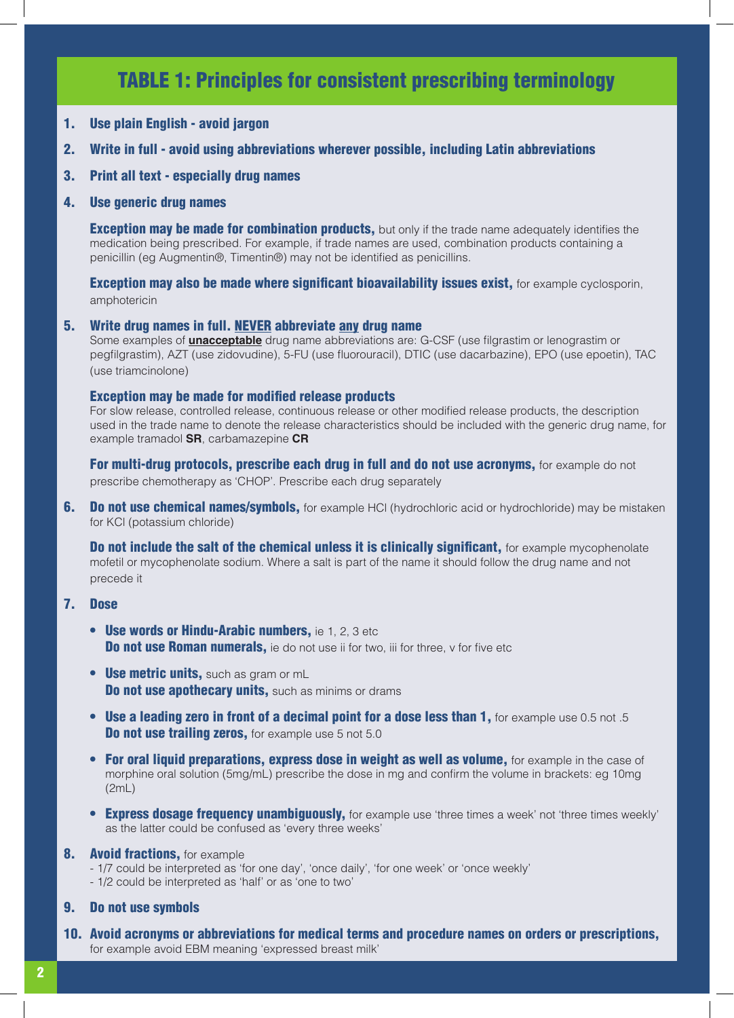### Table 1: Principles for consistent prescribing terminology

- 1. Use plain English avoid jargon
- 2. Write in full avoid using abbreviations wherever possible, including Latin abbreviations
- 3. Print all text especially drug names
- 4. Use generic drug names

**Exception may be made for combination products,** but only if the trade name adequately identifies the medication being prescribed. For example, if trade names are used, combination products containing a penicillin (eg Augmentin®, Timentin®) may not be identified as penicillins.

Exception may also be made where significant bioavailability issues exist, for example cyclosporin, amphotericin

#### 5. Write drug names in full. NEVER abbreviate any drug name

Some examples of **unacceptable** drug name abbreviations are: G-CSF (use filgrastim or lenograstim or pegfilgrastim), AZT (use zidovudine), 5-FU (use fluorouracil), DTIC (use dacarbazine), EPO (use epoetin), TAC (use triamcinolone)

#### Exception may be made for modified release products

For slow release, controlled release, continuous release or other modified release products, the description used in the trade name to denote the release characteristics should be included with the generic drug name, for example tramadol **SR**, carbamazepine **CR**

For multi-drug protocols, prescribe each drug in full and do not use acronyms, for example do not prescribe chemotherapy as 'CHOP'. Prescribe each drug separately

6. Do not use chemical names/symbols, for example HCI (hydrochloric acid or hydrochloride) may be mistaken for KCl (potassium chloride)

Do not include the salt of the chemical unless it is clinically significant, for example mycophenolate mofetil or mycophenolate sodium. Where a salt is part of the name it should follow the drug name and not precede it

#### 7. Dose

- Use words or Hindu-Arabic numbers, ie 1, 2, 3 etc Do not use Roman numerals, ie do not use ii for two, iii for three, v for five etc
- Use metric units, such as gram or mL **Do not use apothecary units, such as minims or drams**
- Use a leading zero in front of a decimal point for a dose less than 1, for example use 0.5 not .5 Do not use trailing zeros, for example use 5 not 5.0
- For oral liquid preparations, express dose in weight as well as volume, for example in the case of morphine oral solution (5mg/mL) prescribe the dose in mg and confirm the volume in brackets: eg 10mg (2mL)
- Express dosage frequency unambiguously, for example use 'three times a week' not 'three times weekly' as the latter could be confused as 'every three weeks'

#### **8. Avoid fractions, for example**

- 1/7 could be interpreted as 'for one day', 'once daily', 'for one week' or 'once weekly'
- 1/2 could be interpreted as 'half' or as 'one to two'

#### 9. Do not use symbols

10. Avoid acronyms or abbreviations for medical terms and procedure names on orders or prescriptions, for example avoid EBM meaning 'expressed breast milk'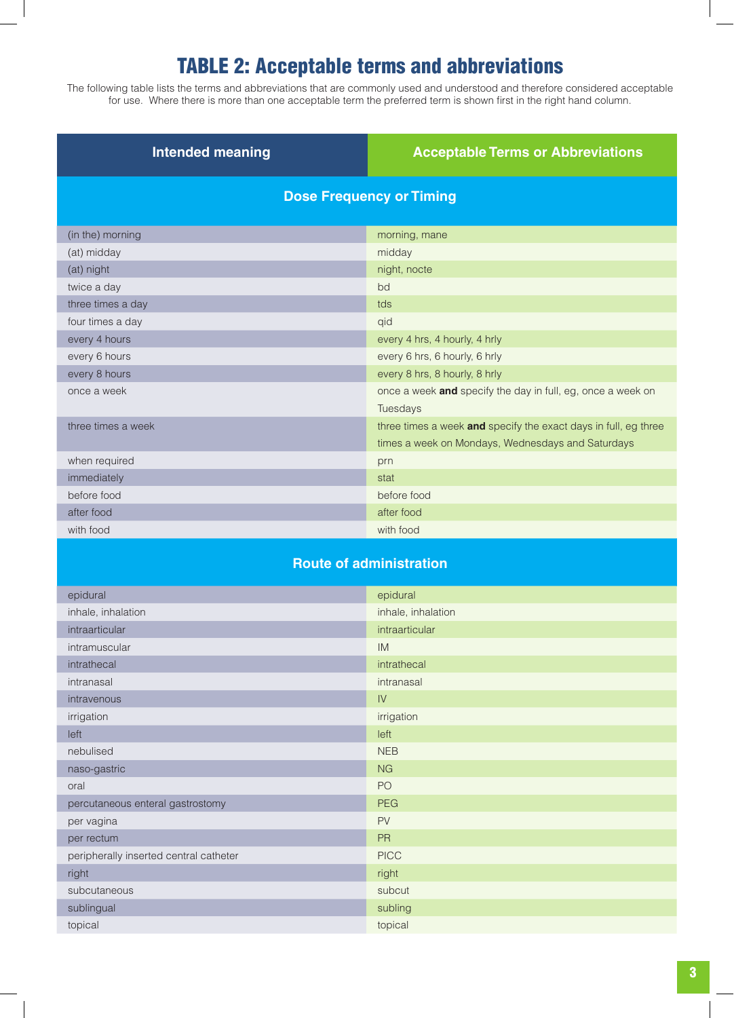### TABLE 2: Acceptable terms and abbreviations

The following table lists the terms and abbreviations that are commonly used and understood and therefore considered acceptable for use. Where there is more than one acceptable term the preferred term is shown first in the right hand column.

#### **Intended meaning Terms Acceptable** Terms or Abbreviations

### **Dose Frequency or Timing**

| (in the) morning   | morning, mane                                                      |
|--------------------|--------------------------------------------------------------------|
| (at) midday        | midday                                                             |
| (at) night         | night, nocte                                                       |
| twice a day        | bd                                                                 |
| three times a day  | tds                                                                |
| four times a day   | qid                                                                |
| every 4 hours      | every 4 hrs, 4 hourly, 4 hrly                                      |
| every 6 hours      | every 6 hrs, 6 hourly, 6 hrly                                      |
| every 8 hours      | every 8 hrs, 8 hourly, 8 hrly                                      |
| once a week        | once a week <b>and</b> specify the day in full, eg, once a week on |
|                    | Tuesdays                                                           |
| three times a week | three times a week and specify the exact days in full, eg three    |
|                    | times a week on Mondays, Wednesdays and Saturdays                  |
| when required      | prn                                                                |
| immediately        | stat                                                               |
| before food        | before food                                                        |
| after food         | after food                                                         |
| with food          | with food                                                          |

#### **Route of administration**

| epidural                               | epidural           |
|----------------------------------------|--------------------|
| inhale, inhalation                     | inhale, inhalation |
| intraarticular                         | intraarticular     |
| intramuscular                          | <b>IM</b>          |
| intrathecal                            | intrathecal        |
| intranasal                             | intranasal         |
| intravenous                            | IV                 |
| irrigation                             | irrigation         |
| left                                   | left               |
| nebulised                              | <b>NEB</b>         |
| naso-gastric                           | NG                 |
| oral                                   | PO                 |
| percutaneous enteral gastrostomy       | <b>PEG</b>         |
| per vagina                             | PV                 |
| per rectum                             | PR                 |
| peripherally inserted central catheter | <b>PICC</b>        |
| right                                  | right              |
| subcutaneous                           | subcut             |
| sublingual                             | subling            |
| topical                                | topical            |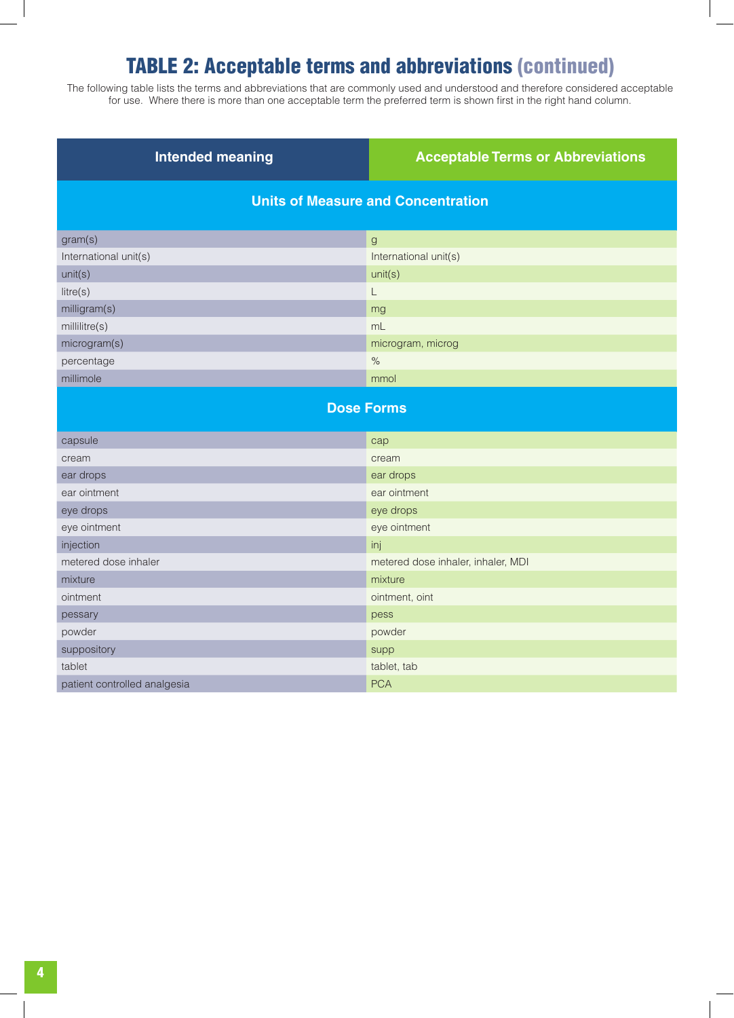### TABLE 2: Acceptable terms and abbreviations (continued)

The following table lists the terms and abbreviations that are commonly used and understood and therefore considered acceptable for use. Where there is more than one acceptable term the preferred term is shown first in the right hand column.

| <b>Intended meaning</b>                   | <b>Acceptable Terms or Abbreviations</b> |  |  |  |
|-------------------------------------------|------------------------------------------|--|--|--|
| <b>Units of Measure and Concentration</b> |                                          |  |  |  |
| gram(s)                                   | $\mathsf{g}$                             |  |  |  |
| International unit(s)                     | International unit(s)                    |  |  |  |
| unit(s)                                   | unit(s)                                  |  |  |  |
| litre(s)                                  | L                                        |  |  |  |
| milligram(s)                              | mg                                       |  |  |  |
| millilitre(s)                             | mL                                       |  |  |  |
| microgram(s)                              | microgram, microg                        |  |  |  |
| percentage                                | $\%$                                     |  |  |  |
| millimole                                 | mmol                                     |  |  |  |
|                                           | <b>Dose Forms</b>                        |  |  |  |
| capsule                                   | cap                                      |  |  |  |
| cream                                     | cream                                    |  |  |  |
| ear drops                                 | ear drops                                |  |  |  |
| ear ointment                              | ear ointment                             |  |  |  |
| eye drops                                 | eye drops                                |  |  |  |
| eye ointment                              | eye ointment                             |  |  |  |
| injection                                 | inj                                      |  |  |  |
| metered dose inhaler                      | metered dose inhaler, inhaler, MDI       |  |  |  |
| mixture                                   | mixture                                  |  |  |  |
| ointment                                  | ointment, oint                           |  |  |  |
| pessary                                   | pess                                     |  |  |  |
| powder                                    | powder                                   |  |  |  |
| suppository                               | supp                                     |  |  |  |
| tablet                                    | tablet, tab                              |  |  |  |
| patient controlled analgesia              | <b>PCA</b>                               |  |  |  |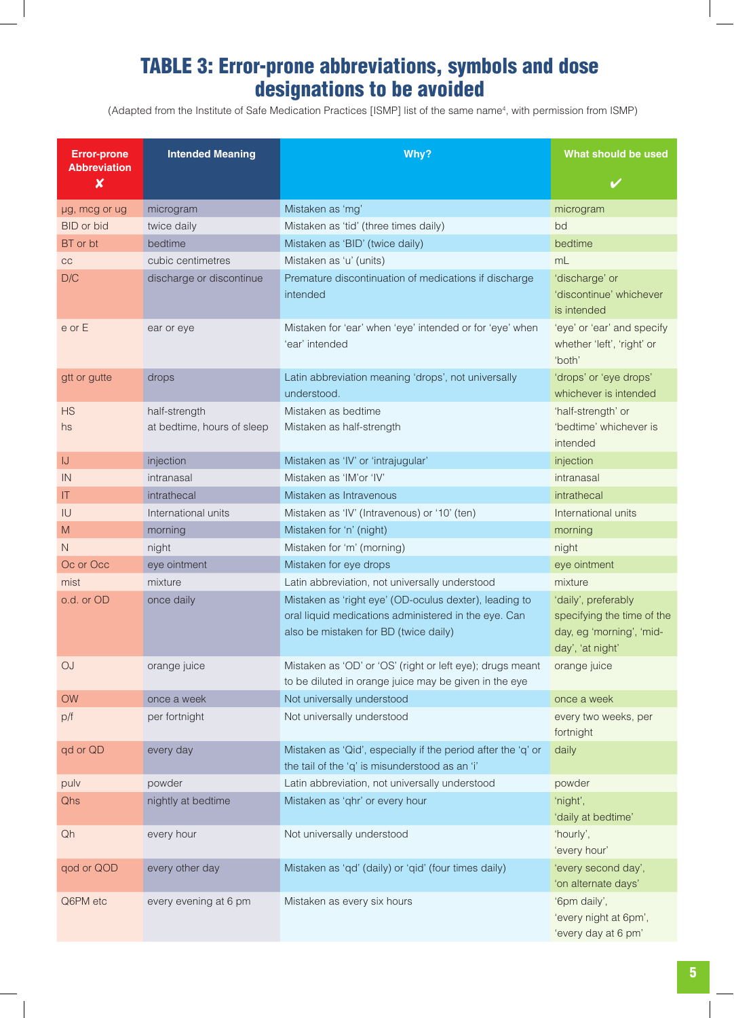### TABLE 3: Error-prone abbreviations, symbols and dose designations to be avoided

(Adapted from the Institute of Safe Medication Practices [ISMP] list of the same name<sup>4</sup>, with permission from ISMP)

| <b>Error-prone</b>       | <b>Intended Meaning</b>                     | Why?                                                                                                                                                    | What should be used                                                                               |
|--------------------------|---------------------------------------------|---------------------------------------------------------------------------------------------------------------------------------------------------------|---------------------------------------------------------------------------------------------------|
| <b>Abbreviation</b><br>× |                                             |                                                                                                                                                         |                                                                                                   |
| µg, mcg or ug            | microgram                                   | Mistaken as 'mg'                                                                                                                                        | microgram                                                                                         |
| <b>BID</b> or bid        | twice daily                                 | Mistaken as 'tid' (three times daily)                                                                                                                   | bd                                                                                                |
| BT or bt                 | bedtime                                     | Mistaken as 'BID' (twice daily)                                                                                                                         | bedtime                                                                                           |
| CC                       | cubic centimetres                           | Mistaken as 'u' (units)                                                                                                                                 | mL                                                                                                |
| D/C                      | discharge or discontinue                    | Premature discontinuation of medications if discharge<br>intended                                                                                       | 'discharge' or<br>'discontinue' whichever<br>is intended                                          |
| e or E                   | ear or eye                                  | Mistaken for 'ear' when 'eye' intended or for 'eye' when<br>'ear' intended                                                                              | 'eye' or 'ear' and specify<br>whether 'left', 'right' or<br>'both'                                |
| gtt or gutte             | drops                                       | Latin abbreviation meaning 'drops', not universally<br>understood.                                                                                      | 'drops' or 'eye drops'<br>whichever is intended                                                   |
| <b>HS</b><br>hs          | half-strength<br>at bedtime, hours of sleep | Mistaken as bedtime<br>Mistaken as half-strength                                                                                                        | 'half-strength' or<br>'bedtime' whichever is<br>intended                                          |
| IJ                       | injection                                   | Mistaken as 'IV' or 'intrajugular'                                                                                                                      | injection                                                                                         |
| IN                       | intranasal                                  | Mistaken as 'IM'or 'IV'                                                                                                                                 | intranasal                                                                                        |
| $\mathsf{I}$             | intrathecal                                 | Mistaken as Intravenous                                                                                                                                 | intrathecal                                                                                       |
| IU                       | International units                         | Mistaken as 'IV' (Intravenous) or '10' (ten)                                                                                                            | International units                                                                               |
| M                        | morning                                     | Mistaken for 'n' (night)                                                                                                                                | morning                                                                                           |
| N                        | night                                       | Mistaken for 'm' (morning)                                                                                                                              | night                                                                                             |
| Oc or Occ                | eye ointment                                | Mistaken for eye drops                                                                                                                                  | eye ointment                                                                                      |
| mist                     | mixture                                     | Latin abbreviation, not universally understood                                                                                                          | mixture                                                                                           |
| o.d. or OD               | once daily                                  | Mistaken as 'right eye' (OD-oculus dexter), leading to<br>oral liquid medications administered in the eye. Can<br>also be mistaken for BD (twice daily) | 'daily', preferably<br>specifying the time of the<br>day, eg 'morning', 'mid-<br>day', 'at night' |
| <b>OJ</b>                | orange juice                                | Mistaken as 'OD' or 'OS' (right or left eye); drugs meant<br>to be diluted in orange juice may be given in the eye                                      | orange juice                                                                                      |
| <b>OW</b>                | once a week                                 | Not universally understood                                                                                                                              | once a week                                                                                       |
| p/f                      | per fortnight                               | Not universally understood                                                                                                                              | every two weeks, per<br>fortnight                                                                 |
| qd or QD                 | every day                                   | Mistaken as 'Qid', especially if the period after the 'q' or<br>the tail of the 'q' is misunderstood as an 'i'                                          | daily                                                                                             |
| pulv                     | powder                                      | Latin abbreviation, not universally understood                                                                                                          | powder                                                                                            |
| Qhs                      | nightly at bedtime                          | Mistaken as 'qhr' or every hour                                                                                                                         | 'night',<br>'daily at bedtime'                                                                    |
| Qh                       | every hour                                  | Not universally understood                                                                                                                              | 'hourly',<br>'every hour'                                                                         |
| qod or QOD               | every other day                             | Mistaken as 'qd' (daily) or 'qid' (four times daily)                                                                                                    | 'every second day',<br>'on alternate days'                                                        |
| Q6PM etc                 | every evening at 6 pm                       | Mistaken as every six hours                                                                                                                             | '6pm daily',<br>'every night at 6pm',<br>'every day at 6 pm'                                      |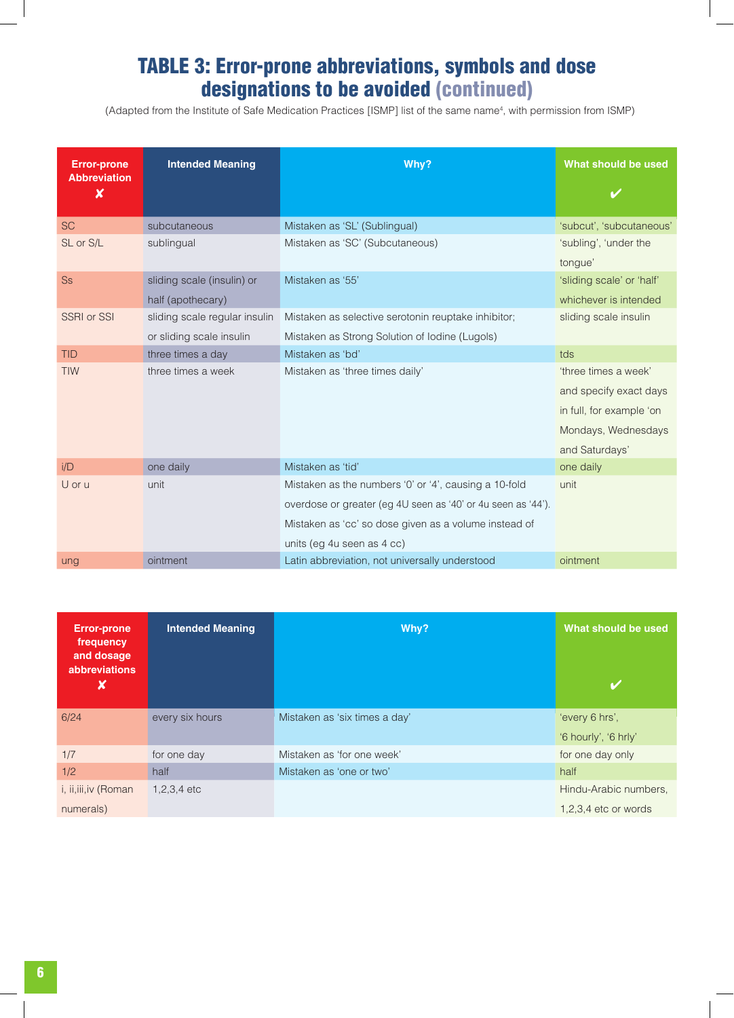### TABLE 3: Error-prone abbreviations, symbols and dose designations to be avoided (continued)

(Adapted from the Institute of Safe Medication Practices [ISMP] list of the same name<sup>4</sup>, with permission from ISMP)

| <b>Error-prone</b><br><b>Abbreviation</b><br>$\boldsymbol{\mathsf{x}}$ | <b>Intended Meaning</b>       | Why?                                                         | What should be used              |
|------------------------------------------------------------------------|-------------------------------|--------------------------------------------------------------|----------------------------------|
| <b>SC</b>                                                              | subcutaneous                  | Mistaken as 'SL' (Sublingual)                                | 'subcut', 'subcutaneous'         |
| SL or S/L                                                              | sublingual                    | Mistaken as 'SC' (Subcutaneous)                              | 'subling', 'under the<br>tongue' |
| <b>Ss</b>                                                              | sliding scale (insulin) or    | Mistaken as '55'                                             | 'sliding scale' or 'half'        |
|                                                                        | half (apothecary)             |                                                              | whichever is intended            |
| <b>SSRI or SSI</b>                                                     | sliding scale regular insulin | Mistaken as selective serotonin reuptake inhibitor;          | sliding scale insulin            |
|                                                                        | or sliding scale insulin      | Mistaken as Strong Solution of Iodine (Lugols)               |                                  |
| <b>TID</b>                                                             | three times a day             | Mistaken as 'bd'                                             | tds                              |
| <b>TIW</b>                                                             | three times a week            | Mistaken as 'three times daily'                              | 'three times a week'             |
|                                                                        |                               |                                                              | and specify exact days           |
|                                                                        |                               |                                                              | in full, for example 'on         |
|                                                                        |                               |                                                              | Mondays, Wednesdays              |
|                                                                        |                               |                                                              | and Saturdays'                   |
| i/D                                                                    | one daily                     | Mistaken as 'tid'                                            | one daily                        |
| U or u                                                                 | unit                          | Mistaken as the numbers '0' or '4', causing a 10-fold        | unit                             |
|                                                                        |                               | overdose or greater (eg 4U seen as '40' or 4u seen as '44'). |                                  |
|                                                                        |                               | Mistaken as 'cc' so dose given as a volume instead of        |                                  |
|                                                                        |                               | units (eg 4u seen as 4 cc)                                   |                                  |
| ung                                                                    | ointment                      | Latin abbreviation, not universally understood               | ointment                         |

| <b>Error-prone</b><br>frequency<br>and dosage<br>abbreviations<br>X | <b>Intended Meaning</b> | Why?                          | What should be used<br>$\overline{\mathcal{L}}$ |
|---------------------------------------------------------------------|-------------------------|-------------------------------|-------------------------------------------------|
| 6/24                                                                | every six hours         | Mistaken as 'six times a day' | 'every 6 hrs',<br>'6 hourly', '6 hrly'          |
| 1/7                                                                 | for one day             | Mistaken as 'for one week'    | for one day only                                |
| 1/2                                                                 | half                    | Mistaken as 'one or two'      | half                                            |
| i, ii, iii, iv (Roman                                               | $1,2,3,4$ etc           |                               | Hindu-Arabic numbers,                           |
| numerals)                                                           |                         |                               | $1,2,3,4$ etc or words                          |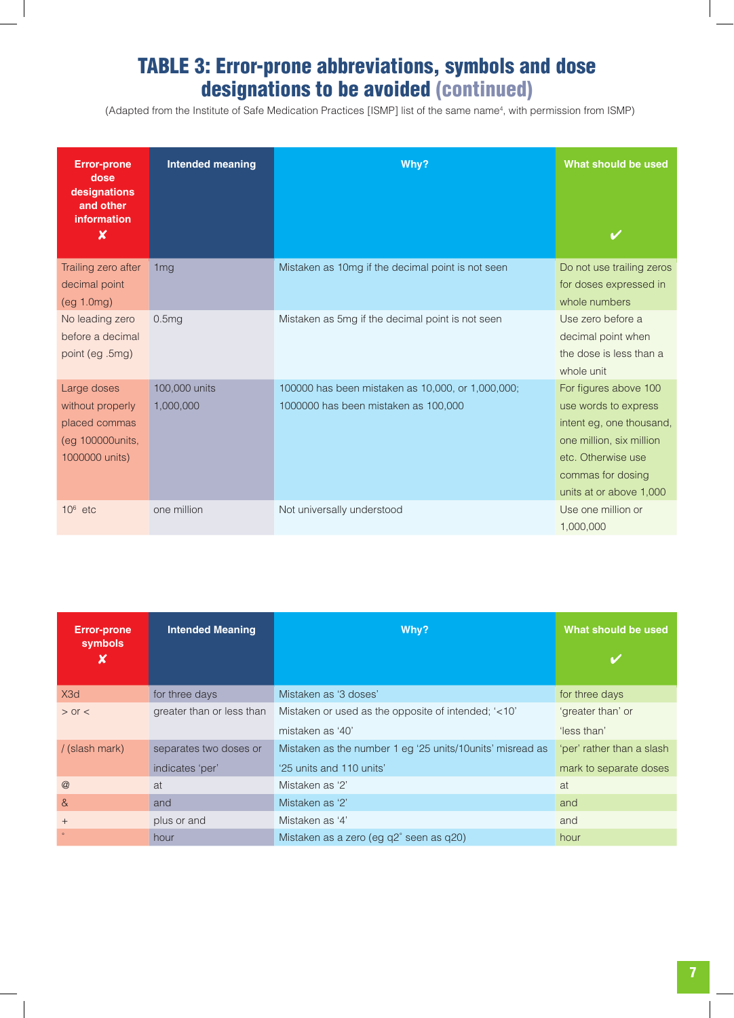### TABLE 3: Error-prone abbreviations, symbols and dose designations to be avoided (continued)

(Adapted from the Institute of Safe Medication Practices [ISMP] list of the same name<sup>4</sup>, with permission from ISMP)

| <b>Error-prone</b><br>dose<br>designations<br>and other<br>information<br>X             | <b>Intended meaning</b>    | Why?                                                                                      | What should be used                                                                                                                                                         |
|-----------------------------------------------------------------------------------------|----------------------------|-------------------------------------------------------------------------------------------|-----------------------------------------------------------------------------------------------------------------------------------------------------------------------------|
| Trailing zero after<br>decimal point<br>(eg 1.0mg)                                      | 1 <sub>mg</sub>            | Mistaken as 10mg if the decimal point is not seen                                         | Do not use trailing zeros<br>for doses expressed in<br>whole numbers                                                                                                        |
| No leading zero<br>before a decimal<br>point (eg .5mg)                                  | 0.5mg                      | Mistaken as 5mg if the decimal point is not seen                                          | Use zero before a<br>decimal point when<br>the dose is less than a<br>whole unit                                                                                            |
| Large doses<br>without properly<br>placed commas<br>(eg 100000 units,<br>1000000 units) | 100,000 units<br>1,000,000 | 100000 has been mistaken as 10,000, or 1,000,000;<br>1000000 has been mistaken as 100,000 | For figures above 100<br>use words to express<br>intent eg, one thousand,<br>one million, six million<br>etc. Otherwise use<br>commas for dosing<br>units at or above 1,000 |
| $106$ etc                                                                               | one million                | Not universally understood                                                                | Use one million or<br>1,000,000                                                                                                                                             |

| <b>Error-prone</b><br>symbols | <b>Intended Meaning</b>   | Why?                                                       | What should be used       |
|-------------------------------|---------------------------|------------------------------------------------------------|---------------------------|
| X                             |                           |                                                            |                           |
| X3d                           | for three days            | Mistaken as '3 doses'                                      | for three days            |
| $>$ or $<$                    | greater than or less than | Mistaken or used as the opposite of intended; '<10'        | 'greater than' or         |
|                               |                           | mistaken as '40'                                           | 'less than'               |
| / (slash mark)                | separates two doses or    | Mistaken as the number 1 eg '25 units/10 units' misread as | 'per' rather than a slash |
|                               | indicates 'per'           | '25 units and 110 units'                                   | mark to separate doses    |
| @                             | at                        | Mistaken as '2'                                            | at                        |
| $\alpha$                      | and                       | Mistaken as '2'                                            | and                       |
| $+$                           | plus or and               | Mistaken as '4'                                            | and                       |
| $\circ$                       | hour                      | Mistaken as a zero (eg q2° seen as q20)                    | hour                      |